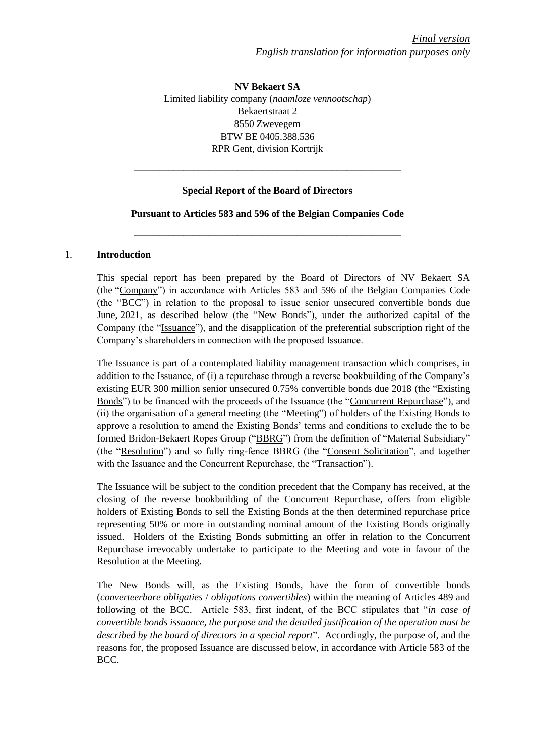**NV Bekaert SA** Limited liability company (*naamloze vennootschap*) Bekaertstraat 2 8550 Zwevegem BTW BE 0405.388.536 RPR Gent, division Kortrijk

## **Special Report of the Board of Directors**

\_\_\_\_\_\_\_\_\_\_\_\_\_\_\_\_\_\_\_\_\_\_\_\_\_\_\_\_\_\_\_\_\_\_\_\_\_\_\_\_\_\_\_\_\_\_\_\_\_\_\_\_\_\_

## **Pursuant to Articles 583 and 596 of the Belgian Companies Code**

\_\_\_\_\_\_\_\_\_\_\_\_\_\_\_\_\_\_\_\_\_\_\_\_\_\_\_\_\_\_\_\_\_\_\_\_\_\_\_\_\_\_\_\_\_\_\_\_\_\_\_\_\_\_

#### 1. **Introduction**

This special report has been prepared by the Board of Directors of NV Bekaert SA (the "Company") in accordance with Articles 583 and 596 of the Belgian Companies Code (the "BCC") in relation to the proposal to issue senior unsecured convertible bonds due June, 2021, as described below (the "New Bonds"), under the authorized capital of the Company (the "Issuance"), and the disapplication of the preferential subscription right of the Company's shareholders in connection with the proposed Issuance.

The Issuance is part of a contemplated liability management transaction which comprises, in addition to the Issuance, of (i) a repurchase through a reverse bookbuilding of the Company's existing EUR 300 million senior unsecured 0.75% convertible bonds due 2018 (the "Existing Bonds") to be financed with the proceeds of the Issuance (the "Concurrent Repurchase"), and (ii) the organisation of a general meeting (the "Meeting") of holders of the Existing Bonds to approve a resolution to amend the Existing Bonds' terms and conditions to exclude the to be formed Bridon-Bekaert Ropes Group ("BBRG") from the definition of "Material Subsidiary" (the "Resolution") and so fully ring-fence BBRG (the "Consent Solicitation", and together with the Issuance and the Concurrent Repurchase, the "Transaction").

The Issuance will be subject to the condition precedent that the Company has received, at the closing of the reverse bookbuilding of the Concurrent Repurchase, offers from eligible holders of Existing Bonds to sell the Existing Bonds at the then determined repurchase price representing 50% or more in outstanding nominal amount of the Existing Bonds originally issued. Holders of the Existing Bonds submitting an offer in relation to the Concurrent Repurchase irrevocably undertake to participate to the Meeting and vote in favour of the Resolution at the Meeting.

The New Bonds will, as the Existing Bonds, have the form of convertible bonds (*converteerbare obligaties* / *obligations convertibles*) within the meaning of Articles 489 and following of the BCC. Article 583, first indent, of the BCC stipulates that "*in case of convertible bonds issuance, the purpose and the detailed justification of the operation must be described by the board of directors in a special report*". Accordingly, the purpose of, and the reasons for, the proposed Issuance are discussed below, in accordance with Article 583 of the BCC.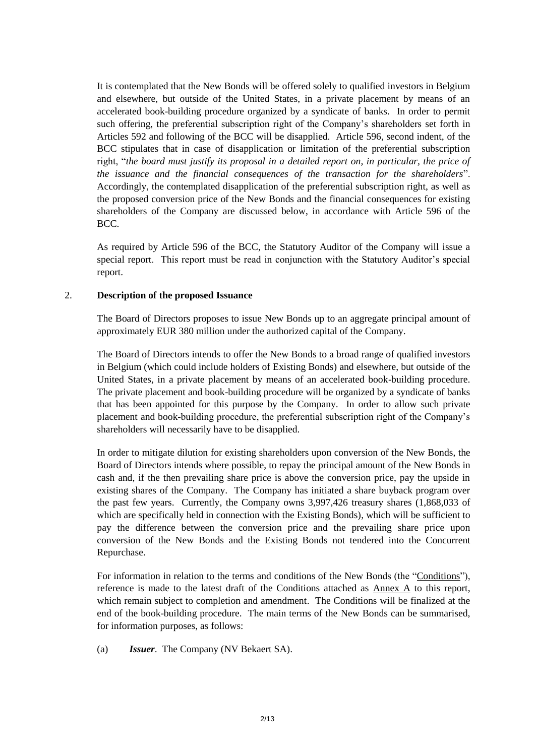It is contemplated that the New Bonds will be offered solely to qualified investors in Belgium and elsewhere, but outside of the United States, in a private placement by means of an accelerated book-building procedure organized by a syndicate of banks. In order to permit such offering, the preferential subscription right of the Company's shareholders set forth in Articles 592 and following of the BCC will be disapplied. Article 596, second indent, of the BCC stipulates that in case of disapplication or limitation of the preferential subscription right, "*the board must justify its proposal in a detailed report on, in particular, the price of the issuance and the financial consequences of the transaction for the shareholders*". Accordingly, the contemplated disapplication of the preferential subscription right, as well as the proposed conversion price of the New Bonds and the financial consequences for existing shareholders of the Company are discussed below, in accordance with Article 596 of the BCC.

As required by Article 596 of the BCC, the Statutory Auditor of the Company will issue a special report. This report must be read in conjunction with the Statutory Auditor's special report.

## 2. **Description of the proposed Issuance**

The Board of Directors proposes to issue New Bonds up to an aggregate principal amount of approximately EUR 380 million under the authorized capital of the Company.

The Board of Directors intends to offer the New Bonds to a broad range of qualified investors in Belgium (which could include holders of Existing Bonds) and elsewhere, but outside of the United States, in a private placement by means of an accelerated book-building procedure. The private placement and book-building procedure will be organized by a syndicate of banks that has been appointed for this purpose by the Company. In order to allow such private placement and book-building procedure, the preferential subscription right of the Company's shareholders will necessarily have to be disapplied.

In order to mitigate dilution for existing shareholders upon conversion of the New Bonds, the Board of Directors intends where possible, to repay the principal amount of the New Bonds in cash and, if the then prevailing share price is above the conversion price, pay the upside in existing shares of the Company. The Company has initiated a share buyback program over the past few years. Currently, the Company owns 3,997,426 treasury shares (1,868,033 of which are specifically held in connection with the Existing Bonds), which will be sufficient to pay the difference between the conversion price and the prevailing share price upon conversion of the New Bonds and the Existing Bonds not tendered into the Concurrent Repurchase.

For information in relation to the terms and conditions of the New Bonds (the "Conditions"), reference is made to the latest draft of the Conditions attached as Annex A to this report, which remain subject to completion and amendment. The Conditions will be finalized at the end of the book-building procedure. The main terms of the New Bonds can be summarised, for information purposes, as follows:

(a) *Issuer*. The Company (NV Bekaert SA).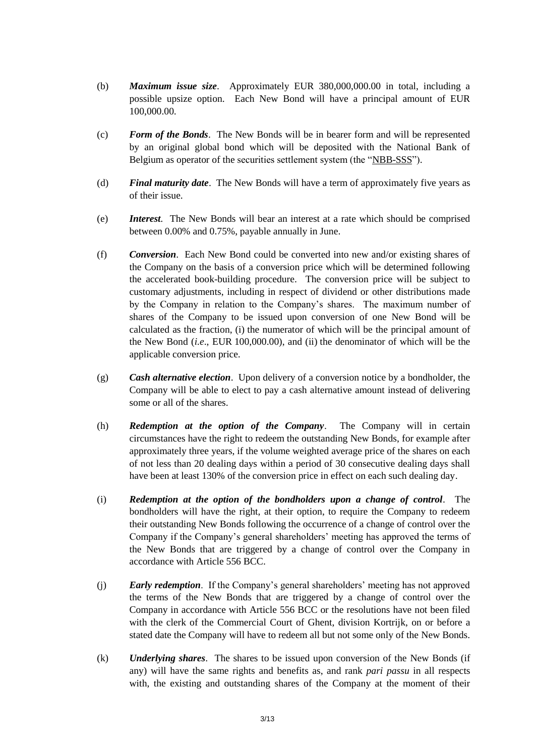- (b) *Maximum issue size*. Approximately EUR 380,000,000.00 in total, including a possible upsize option. Each New Bond will have a principal amount of EUR 100,000.00.
- (c) *Form of the Bonds*. The New Bonds will be in bearer form and will be represented by an original global bond which will be deposited with the National Bank of Belgium as operator of the securities settlement system (the "NBB-SSS").
- (d) *Final maturity date*. The New Bonds will have a term of approximately five years as of their issue.
- (e) *Interest.* The New Bonds will bear an interest at a rate which should be comprised between 0.00% and 0.75%, payable annually in June.
- <span id="page-2-0"></span>(f) *Conversion*. Each New Bond could be converted into new and/or existing shares of the Company on the basis of a conversion price which will be determined following the accelerated book-building procedure. The conversion price will be subject to customary adjustments, including in respect of dividend or other distributions made by the Company in relation to the Company's shares. The maximum number of shares of the Company to be issued upon conversion of one New Bond will be calculated as the fraction, (i) the numerator of which will be the principal amount of the New Bond (*i.e*., EUR 100,000.00), and (ii) the denominator of which will be the applicable conversion price.
- <span id="page-2-1"></span>(g) *Cash alternative election*. Upon delivery of a conversion notice by a bondholder, the Company will be able to elect to pay a cash alternative amount instead of delivering some or all of the shares.
- (h) *Redemption at the option of the Company*. The Company will in certain circumstances have the right to redeem the outstanding New Bonds, for example after approximately three years, if the volume weighted average price of the shares on each of not less than 20 dealing days within a period of 30 consecutive dealing days shall have been at least 130% of the conversion price in effect on each such dealing day.
- (i) *Redemption at the option of the bondholders upon a change of control*. The bondholders will have the right, at their option, to require the Company to redeem their outstanding New Bonds following the occurrence of a change of control over the Company if the Company's general shareholders' meeting has approved the terms of the New Bonds that are triggered by a change of control over the Company in accordance with Article 556 BCC.
- (j) *Early redemption*. If the Company's general shareholders' meeting has not approved the terms of the New Bonds that are triggered by a change of control over the Company in accordance with Article 556 BCC or the resolutions have not been filed with the clerk of the Commercial Court of Ghent, division Kortrijk, on or before a stated date the Company will have to redeem all but not some only of the New Bonds.
- (k) *Underlying shares*. The shares to be issued upon conversion of the New Bonds (if any) will have the same rights and benefits as, and rank *pari passu* in all respects with, the existing and outstanding shares of the Company at the moment of their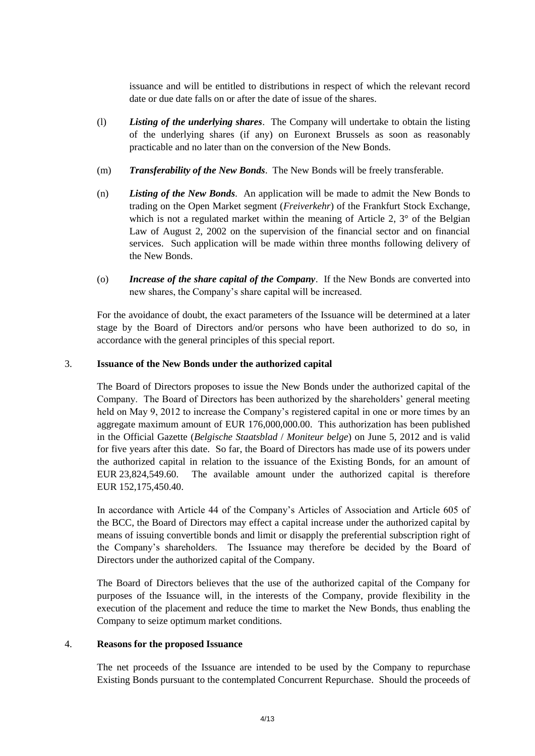issuance and will be entitled to distributions in respect of which the relevant record date or due date falls on or after the date of issue of the shares.

- (l) *Listing of the underlying shares*. The Company will undertake to obtain the listing of the underlying shares (if any) on Euronext Brussels as soon as reasonably practicable and no later than on the conversion of the New Bonds.
- (m) *Transferability of the New Bonds*. The New Bonds will be freely transferable.
- (n) *Listing of the New Bonds*. An application will be made to admit the New Bonds to trading on the Open Market segment (*Freiverkehr*) of the Frankfurt Stock Exchange, which is not a regulated market within the meaning of Article 2,  $3^{\circ}$  of the Belgian Law of August 2, 2002 on the supervision of the financial sector and on financial services. Such application will be made within three months following delivery of the New Bonds.
- (o) *Increase of the share capital of the Company*. If the New Bonds are converted into new shares, the Company's share capital will be increased.

For the avoidance of doubt, the exact parameters of the Issuance will be determined at a later stage by the Board of Directors and/or persons who have been authorized to do so, in accordance with the general principles of this special report.

# 3. **Issuance of the New Bonds under the authorized capital**

The Board of Directors proposes to issue the New Bonds under the authorized capital of the Company. The Board of Directors has been authorized by the shareholders' general meeting held on May 9, 2012 to increase the Company's registered capital in one or more times by an aggregate maximum amount of EUR 176,000,000.00. This authorization has been published in the Official Gazette (*Belgische Staatsblad* / *Moniteur belge*) on June 5, 2012 and is valid for five years after this date. So far, the Board of Directors has made use of its powers under the authorized capital in relation to the issuance of the Existing Bonds, for an amount of EUR 23,824,549.60. The available amount under the authorized capital is therefore EUR 152,175,450.40.

In accordance with Article 44 of the Company's Articles of Association and Article 605 of the BCC, the Board of Directors may effect a capital increase under the authorized capital by means of issuing convertible bonds and limit or disapply the preferential subscription right of the Company's shareholders. The Issuance may therefore be decided by the Board of Directors under the authorized capital of the Company.

The Board of Directors believes that the use of the authorized capital of the Company for purposes of the Issuance will, in the interests of the Company, provide flexibility in the execution of the placement and reduce the time to market the New Bonds, thus enabling the Company to seize optimum market conditions.

# <span id="page-3-0"></span>4. **Reasons for the proposed Issuance**

The net proceeds of the Issuance are intended to be used by the Company to repurchase Existing Bonds pursuant to the contemplated Concurrent Repurchase. Should the proceeds of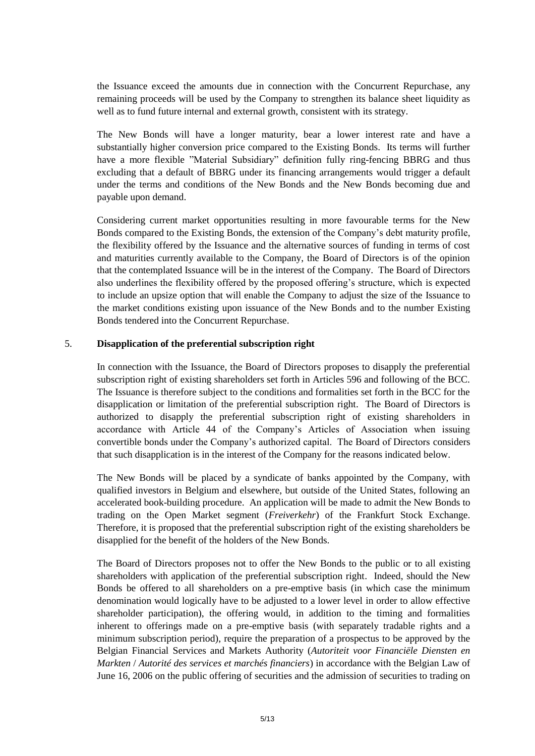the Issuance exceed the amounts due in connection with the Concurrent Repurchase, any remaining proceeds will be used by the Company to strengthen its balance sheet liquidity as well as to fund future internal and external growth, consistent with its strategy.

The New Bonds will have a longer maturity, bear a lower interest rate and have a substantially higher conversion price compared to the Existing Bonds. Its terms will further have a more flexible "Material Subsidiary" definition fully ring-fencing BBRG and thus excluding that a default of BBRG under its financing arrangements would trigger a default under the terms and conditions of the New Bonds and the New Bonds becoming due and payable upon demand.

Considering current market opportunities resulting in more favourable terms for the New Bonds compared to the Existing Bonds, the extension of the Company's debt maturity profile, the flexibility offered by the Issuance and the alternative sources of funding in terms of cost and maturities currently available to the Company, the Board of Directors is of the opinion that the contemplated Issuance will be in the interest of the Company. The Board of Directors also underlines the flexibility offered by the proposed offering's structure, which is expected to include an upsize option that will enable the Company to adjust the size of the Issuance to the market conditions existing upon issuance of the New Bonds and to the number Existing Bonds tendered into the Concurrent Repurchase.

## 5. **Disapplication of the preferential subscription right**

In connection with the Issuance, the Board of Directors proposes to disapply the preferential subscription right of existing shareholders set forth in Articles 596 and following of the BCC. The Issuance is therefore subject to the conditions and formalities set forth in the BCC for the disapplication or limitation of the preferential subscription right. The Board of Directors is authorized to disapply the preferential subscription right of existing shareholders in accordance with Article 44 of the Company's Articles of Association when issuing convertible bonds under the Company's authorized capital. The Board of Directors considers that such disapplication is in the interest of the Company for the reasons indicated below.

The New Bonds will be placed by a syndicate of banks appointed by the Company, with qualified investors in Belgium and elsewhere, but outside of the United States, following an accelerated book-building procedure. An application will be made to admit the New Bonds to trading on the Open Market segment (*Freiverkehr*) of the Frankfurt Stock Exchange. Therefore, it is proposed that the preferential subscription right of the existing shareholders be disapplied for the benefit of the holders of the New Bonds.

The Board of Directors proposes not to offer the New Bonds to the public or to all existing shareholders with application of the preferential subscription right. Indeed, should the New Bonds be offered to all shareholders on a pre-emptive basis (in which case the minimum denomination would logically have to be adjusted to a lower level in order to allow effective shareholder participation), the offering would, in addition to the timing and formalities inherent to offerings made on a pre-emptive basis (with separately tradable rights and a minimum subscription period), require the preparation of a prospectus to be approved by the Belgian Financial Services and Markets Authority (*Autoriteit voor Financiële Diensten en Markten* / *Autorité des services et marchés financiers*) in accordance with the Belgian Law of June 16, 2006 on the public offering of securities and the admission of securities to trading on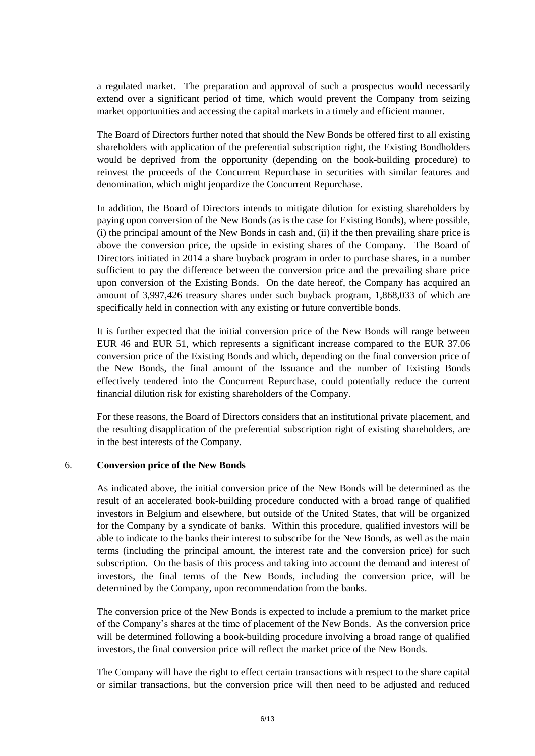a regulated market. The preparation and approval of such a prospectus would necessarily extend over a significant period of time, which would prevent the Company from seizing market opportunities and accessing the capital markets in a timely and efficient manner.

The Board of Directors further noted that should the New Bonds be offered first to all existing shareholders with application of the preferential subscription right, the Existing Bondholders would be deprived from the opportunity (depending on the book-building procedure) to reinvest the proceeds of the Concurrent Repurchase in securities with similar features and denomination, which might jeopardize the Concurrent Repurchase.

In addition, the Board of Directors intends to mitigate dilution for existing shareholders by paying upon conversion of the New Bonds (as is the case for Existing Bonds), where possible, (i) the principal amount of the New Bonds in cash and, (ii) if the then prevailing share price is above the conversion price, the upside in existing shares of the Company. The Board of Directors initiated in 2014 a share buyback program in order to purchase shares, in a number sufficient to pay the difference between the conversion price and the prevailing share price upon conversion of the Existing Bonds. On the date hereof, the Company has acquired an amount of 3,997,426 treasury shares under such buyback program, 1,868,033 of which are specifically held in connection with any existing or future convertible bonds.

It is further expected that the initial conversion price of the New Bonds will range between EUR 46 and EUR 51, which represents a significant increase compared to the EUR 37.06 conversion price of the Existing Bonds and which, depending on the final conversion price of the New Bonds, the final amount of the Issuance and the number of Existing Bonds effectively tendered into the Concurrent Repurchase, could potentially reduce the current financial dilution risk for existing shareholders of the Company.

For these reasons, the Board of Directors considers that an institutional private placement, and the resulting disapplication of the preferential subscription right of existing shareholders, are in the best interests of the Company.

#### 6. **Conversion price of the New Bonds**

As indicated above, the initial conversion price of the New Bonds will be determined as the result of an accelerated book-building procedure conducted with a broad range of qualified investors in Belgium and elsewhere, but outside of the United States, that will be organized for the Company by a syndicate of banks. Within this procedure, qualified investors will be able to indicate to the banks their interest to subscribe for the New Bonds, as well as the main terms (including the principal amount, the interest rate and the conversion price) for such subscription. On the basis of this process and taking into account the demand and interest of investors, the final terms of the New Bonds, including the conversion price, will be determined by the Company, upon recommendation from the banks.

The conversion price of the New Bonds is expected to include a premium to the market price of the Company's shares at the time of placement of the New Bonds. As the conversion price will be determined following a book-building procedure involving a broad range of qualified investors, the final conversion price will reflect the market price of the New Bonds.

The Company will have the right to effect certain transactions with respect to the share capital or similar transactions, but the conversion price will then need to be adjusted and reduced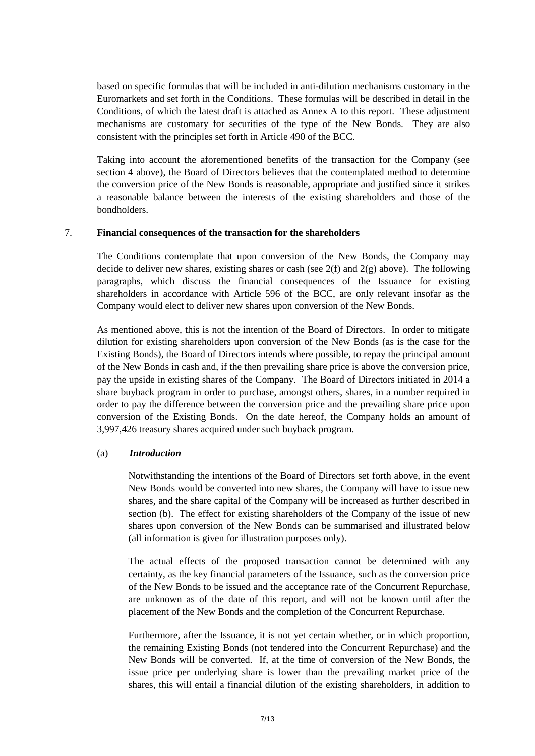based on specific formulas that will be included in anti-dilution mechanisms customary in the Euromarkets and set forth in the Conditions. These formulas will be described in detail in the Conditions, of which the latest draft is attached as Annex A to this report. These adjustment mechanisms are customary for securities of the type of the New Bonds. They are also consistent with the principles set forth in Article 490 of the BCC.

Taking into account the aforementioned benefits of the transaction for the Company (see section [4](#page-3-0) above), the Board of Directors believes that the contemplated method to determine the conversion price of the New Bonds is reasonable, appropriate and justified since it strikes a reasonable balance between the interests of the existing shareholders and those of the bondholders.

#### 7. **Financial consequences of the transaction for the shareholders**

The Conditions contemplate that upon conversion of the New Bonds, the Company may decide to deliver new shares, existing shares or cash (see  $2(f)$  and  $2(g)$  above). The following paragraphs, which discuss the financial consequences of the Issuance for existing shareholders in accordance with Article 596 of the BCC, are only relevant insofar as the Company would elect to deliver new shares upon conversion of the New Bonds.

As mentioned above, this is not the intention of the Board of Directors. In order to mitigate dilution for existing shareholders upon conversion of the New Bonds (as is the case for the Existing Bonds), the Board of Directors intends where possible, to repay the principal amount of the New Bonds in cash and, if the then prevailing share price is above the conversion price, pay the upside in existing shares of the Company. The Board of Directors initiated in 2014 a share buyback program in order to purchase, amongst others, shares, in a number required in order to pay the difference between the conversion price and the prevailing share price upon conversion of the Existing Bonds. On the date hereof, the Company holds an amount of 3,997,426 treasury shares acquired under such buyback program.

#### (a) *Introduction*

Notwithstanding the intentions of the Board of Directors set forth above, in the event New Bonds would be converted into new shares, the Company will have to issue new shares, and the share capital of the Company will be increased as further described in section [\(b\).](#page-7-0) The effect for existing shareholders of the Company of the issue of new shares upon conversion of the New Bonds can be summarised and illustrated below (all information is given for illustration purposes only).

The actual effects of the proposed transaction cannot be determined with any certainty, as the key financial parameters of the Issuance, such as the conversion price of the New Bonds to be issued and the acceptance rate of the Concurrent Repurchase, are unknown as of the date of this report, and will not be known until after the placement of the New Bonds and the completion of the Concurrent Repurchase.

Furthermore, after the Issuance, it is not yet certain whether, or in which proportion, the remaining Existing Bonds (not tendered into the Concurrent Repurchase) and the New Bonds will be converted. If, at the time of conversion of the New Bonds, the issue price per underlying share is lower than the prevailing market price of the shares, this will entail a financial dilution of the existing shareholders, in addition to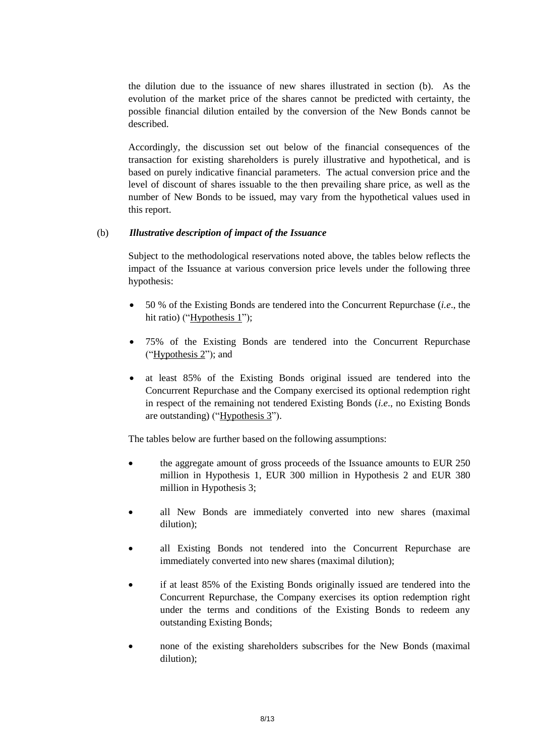the dilution due to the issuance of new shares illustrated in section [\(b\).](#page-7-0) As the evolution of the market price of the shares cannot be predicted with certainty, the possible financial dilution entailed by the conversion of the New Bonds cannot be described.

Accordingly, the discussion set out below of the financial consequences of the transaction for existing shareholders is purely illustrative and hypothetical, and is based on purely indicative financial parameters. The actual conversion price and the level of discount of shares issuable to the then prevailing share price, as well as the number of New Bonds to be issued, may vary from the hypothetical values used in this report.

## <span id="page-7-0"></span>(b) *Illustrative description of impact of the Issuance*

Subject to the methodological reservations noted above, the tables below reflects the impact of the Issuance at various conversion price levels under the following three hypothesis:

- 50 % of the Existing Bonds are tendered into the Concurrent Repurchase (*i.e*., the hit ratio) (" $Hypothesis 1$ ");
- 75% of the Existing Bonds are tendered into the Concurrent Repurchase ("Hypothesis 2"); and
- at least 85% of the Existing Bonds original issued are tendered into the Concurrent Repurchase and the Company exercised its optional redemption right in respect of the remaining not tendered Existing Bonds (*i.e*., no Existing Bonds are outstanding) ("Hypothesis 3").

The tables below are further based on the following assumptions:

- the aggregate amount of gross proceeds of the Issuance amounts to EUR 250 million in Hypothesis 1, EUR 300 million in Hypothesis 2 and EUR 380 million in Hypothesis 3;
- all New Bonds are immediately converted into new shares (maximal dilution);
- all Existing Bonds not tendered into the Concurrent Repurchase are immediately converted into new shares (maximal dilution);
- if at least 85% of the Existing Bonds originally issued are tendered into the Concurrent Repurchase, the Company exercises its option redemption right under the terms and conditions of the Existing Bonds to redeem any outstanding Existing Bonds;
- none of the existing shareholders subscribes for the New Bonds (maximal dilution);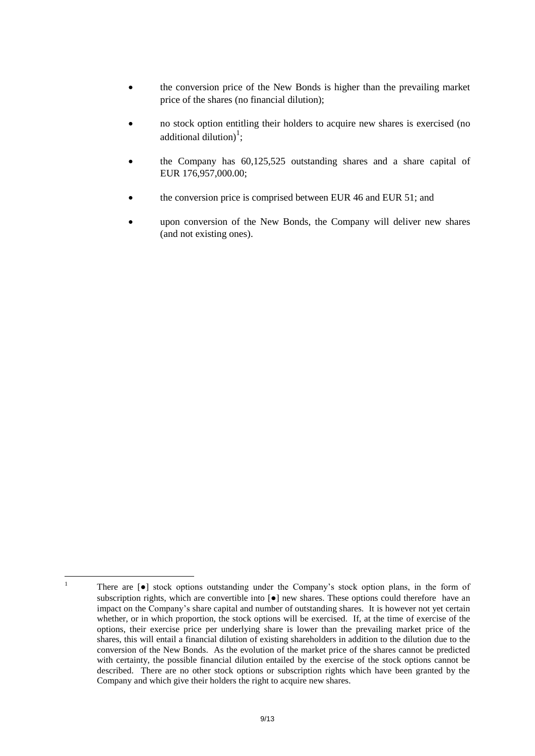- the conversion price of the New Bonds is higher than the prevailing market price of the shares (no financial dilution);
- no stock option entitling their holders to acquire new shares is exercised (no additional dilution)<sup>1</sup>;
- the Company has 60,125,525 outstanding shares and a share capital of EUR 176,957,000.00;
- the conversion price is comprised between EUR 46 and EUR 51; and
- upon conversion of the New Bonds, the Company will deliver new shares (and not existing ones).

 $\overline{1}$ <sup>1</sup> There are [●] stock options outstanding under the Company's stock option plans, in the form of subscription rights, which are convertible into  $\lceil \bullet \rceil$  new shares. These options could therefore have an impact on the Company's share capital and number of outstanding shares. It is however not yet certain whether, or in which proportion, the stock options will be exercised. If, at the time of exercise of the options, their exercise price per underlying share is lower than the prevailing market price of the shares, this will entail a financial dilution of existing shareholders in addition to the dilution due to the conversion of the New Bonds. As the evolution of the market price of the shares cannot be predicted with certainty, the possible financial dilution entailed by the exercise of the stock options cannot be described. There are no other stock options or subscription rights which have been granted by the Company and which give their holders the right to acquire new shares.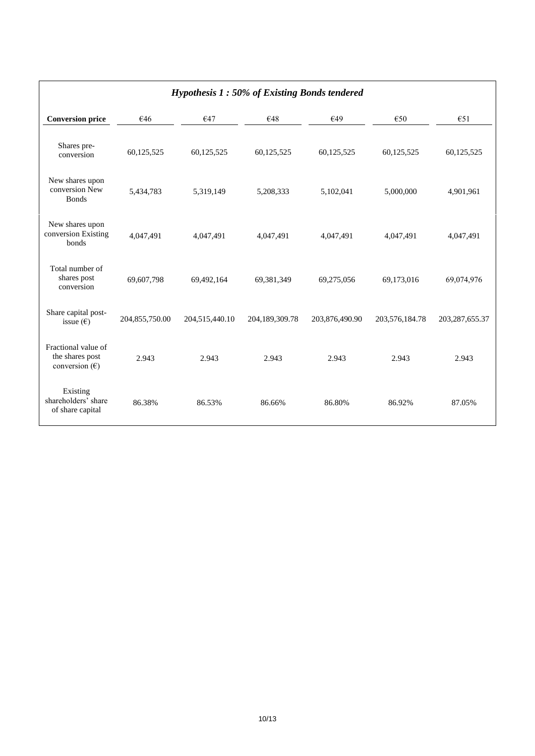| Hypothesis $1:50\%$ of Existing Bonds tendered                    |                |                |                |                |                |                   |  |
|-------------------------------------------------------------------|----------------|----------------|----------------|----------------|----------------|-------------------|--|
| <b>Conversion price</b>                                           | €46            | €47            | €48            | €49            | €50            | €51               |  |
| Shares pre-<br>conversion                                         | 60,125,525     | 60,125,525     | 60,125,525     | 60,125,525     | 60,125,525     | 60,125,525        |  |
| New shares upon<br>conversion New<br><b>Bonds</b>                 | 5,434,783      | 5,319,149      | 5,208,333      | 5,102,041      | 5,000,000      | 4,901,961         |  |
| New shares upon<br>conversion Existing<br>bonds                   | 4,047,491      | 4,047,491      | 4,047,491      | 4,047,491      | 4,047,491      | 4,047,491         |  |
| Total number of<br>shares post<br>conversion                      | 69,607,798     | 69,492,164     | 69,381,349     | 69,275,056     | 69,173,016     | 69,074,976        |  |
| Share capital post-<br>issue $(\epsilon)$                         | 204,855,750.00 | 204,515,440.10 | 204,189,309.78 | 203,876,490.90 | 203,576,184.78 | 203, 287, 655. 37 |  |
| Fractional value of<br>the shares post<br>conversion $(\epsilon)$ | 2.943          | 2.943          | 2.943          | 2.943          | 2.943          | 2.943             |  |
| Existing<br>shareholders' share<br>of share capital               | 86.38%         | 86.53%         | 86.66%         | 86.80%         | 86.92%         | 87.05%            |  |

## *Hypothesis 1 : 50% of Existing Bonds tendered*

 $\overline{\phantom{a}}$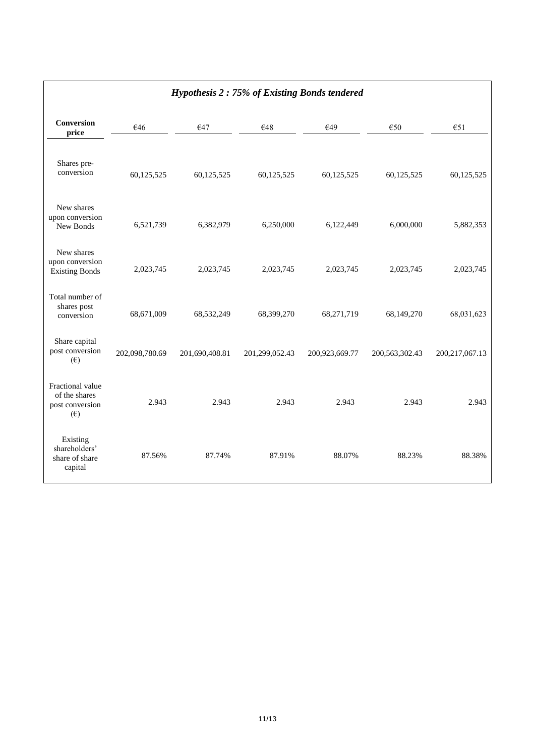|                                                                      |                | ✔ ▲            |                |                |                   |                   |
|----------------------------------------------------------------------|----------------|----------------|----------------|----------------|-------------------|-------------------|
| Conversion<br>price                                                  | €46            | €47            | €48            | €49            | €50               | €51               |
| Shares pre-<br>conversion                                            | 60,125,525     | 60,125,525     | 60,125,525     | 60,125,525     | 60,125,525        | 60,125,525        |
| New shares<br>upon conversion<br>New Bonds                           | 6,521,739      | 6,382,979      | 6,250,000      | 6,122,449      | 6,000,000         | 5,882,353         |
| New shares<br>upon conversion<br><b>Existing Bonds</b>               | 2,023,745      | 2,023,745      | 2,023,745      | 2,023,745      | 2,023,745         | 2,023,745         |
| Total number of<br>shares post<br>conversion                         | 68,671,009     | 68,532,249     | 68,399,270     | 68,271,719     | 68,149,270        | 68,031,623        |
| Share capital<br>post conversion<br>$(\epsilon)$                     | 202,098,780.69 | 201,690,408.81 | 201,299,052.43 | 200,923,669.77 | 200, 563, 302. 43 | 200, 217, 067. 13 |
| Fractional value<br>of the shares<br>post conversion<br>$(\epsilon)$ | 2.943          | 2.943          | 2.943          | 2.943          | 2.943             | 2.943             |
| Existing<br>shareholders'<br>share of share<br>capital               | 87.56%         | 87.74%         | 87.91%         | 88.07%         | 88.23%            | 88.38%            |

# *Hypothesis 2 : 75% of Existing Bonds tendered*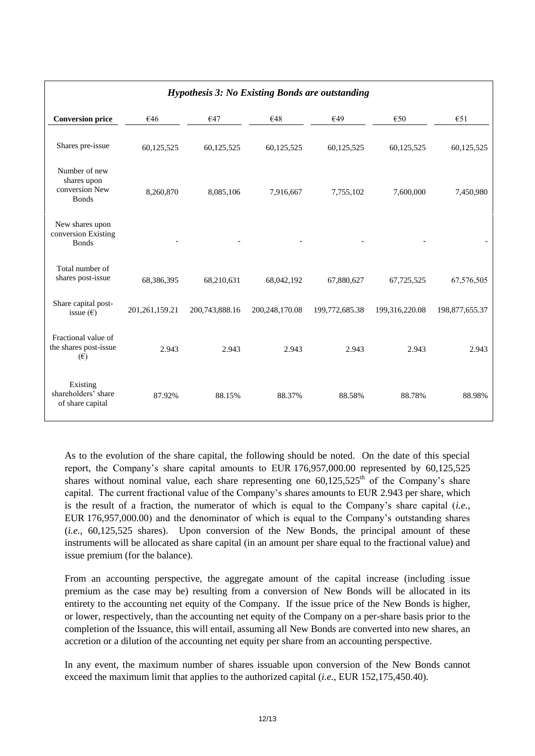| <b>Hypothesis 3: No Existing Bonds are outstanding</b>         |                   |                |                  |                |                |                |  |
|----------------------------------------------------------------|-------------------|----------------|------------------|----------------|----------------|----------------|--|
| <b>Conversion price</b>                                        | €46               | €47            | €48              | €49            | €50            | €51            |  |
| Shares pre-issue                                               | 60,125,525        | 60,125,525     | 60,125,525       | 60,125,525     | 60,125,525     | 60,125,525     |  |
| Number of new<br>shares upon<br>conversion New<br><b>Bonds</b> | 8,260,870         | 8,085,106      | 7,916,667        | 7,755,102      | 7,600,000      | 7,450,980      |  |
| New shares upon<br>conversion Existing<br><b>Bonds</b>         |                   |                |                  |                |                |                |  |
| Total number of<br>shares post-issue                           | 68,386,395        | 68,210,631     | 68,042,192       | 67,880,627     | 67,725,525     | 67,576,505     |  |
| Share capital post-<br>issue $(\epsilon)$                      | 201, 261, 159. 21 | 200,743,888.16 | 200, 248, 170.08 | 199,772,685.38 | 199,316,220.08 | 198,877,655.37 |  |
| Fractional value of<br>the shares post-issue<br>$(\epsilon)$   | 2.943             | 2.943          | 2.943            | 2.943          | 2.943          | 2.943          |  |
| Existing<br>shareholders' share<br>of share capital            | 87.92%            | 88.15%         | 88.37%           | 88.58%         | 88.78%         | 88.98%         |  |

As to the evolution of the share capital, the following should be noted. On the date of this special report, the Company's share capital amounts to EUR 176,957,000.00 represented by 60,125,525 shares without nominal value, each share representing one  $60,125,525$ <sup>th</sup> of the Company's share capital. The current fractional value of the Company's shares amounts to EUR 2.943 per share, which is the result of a fraction, the numerator of which is equal to the Company's share capital (*i.e.*, EUR 176,957,000.00) and the denominator of which is equal to the Company's outstanding shares (*i.e.*, 60,125,525 shares). Upon conversion of the New Bonds, the principal amount of these instruments will be allocated as share capital (in an amount per share equal to the fractional value) and issue premium (for the balance).

From an accounting perspective, the aggregate amount of the capital increase (including issue premium as the case may be) resulting from a conversion of New Bonds will be allocated in its entirety to the accounting net equity of the Company. If the issue price of the New Bonds is higher, or lower, respectively, than the accounting net equity of the Company on a per-share basis prior to the completion of the Issuance, this will entail, assuming all New Bonds are converted into new shares, an accretion or a dilution of the accounting net equity per share from an accounting perspective.

In any event, the maximum number of shares issuable upon conversion of the New Bonds cannot exceed the maximum limit that applies to the authorized capital (*i.e.*, EUR 152,175,450.40).